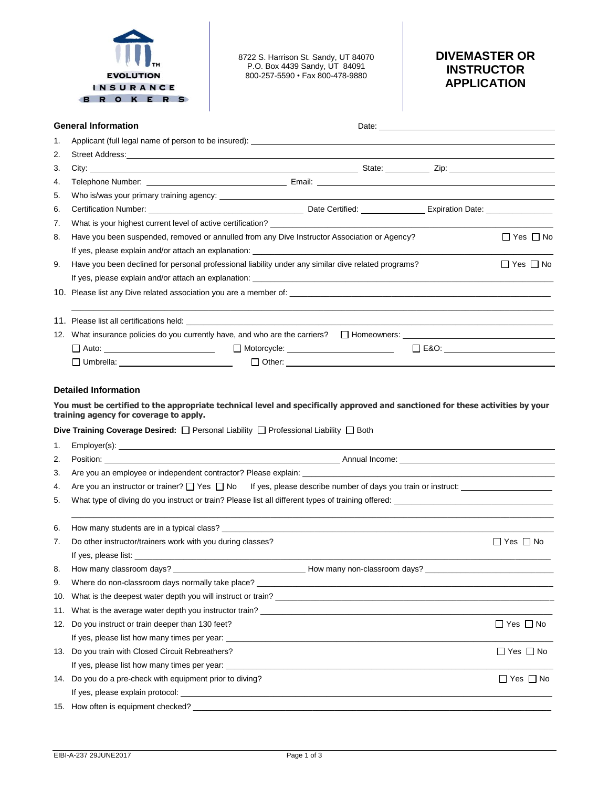

8722 S. Harrison St. Sandy, UT 84070 P.O. Box 4439 Sandy, UT 84091 800-257-5590 • Fax 800-478-9880

# **DIVEMASTER OR INSTRUCTOR APPLICATION**

|     | <b>General Information</b>                                                                                                                                                                                                                                                      |  |  |  |                      |  |  |
|-----|---------------------------------------------------------------------------------------------------------------------------------------------------------------------------------------------------------------------------------------------------------------------------------|--|--|--|----------------------|--|--|
| 1.  |                                                                                                                                                                                                                                                                                 |  |  |  |                      |  |  |
| 2.  | Street Address: <u>Communications</u> Communications of the Communications of the Communications of the Communications of the Communications of the Communications of the Communications of the Communications of the Communication                                             |  |  |  |                      |  |  |
| 3.  |                                                                                                                                                                                                                                                                                 |  |  |  |                      |  |  |
| 4.  |                                                                                                                                                                                                                                                                                 |  |  |  |                      |  |  |
| 5.  |                                                                                                                                                                                                                                                                                 |  |  |  |                      |  |  |
| 6.  |                                                                                                                                                                                                                                                                                 |  |  |  |                      |  |  |
| 7.  |                                                                                                                                                                                                                                                                                 |  |  |  |                      |  |  |
| 8.  | Have you been suspended, removed or annulled from any Dive Instructor Association or Agency?                                                                                                                                                                                    |  |  |  | $\Box$ Yes $\Box$ No |  |  |
|     |                                                                                                                                                                                                                                                                                 |  |  |  |                      |  |  |
| 9.  | Have you been declined for personal professional liability under any similar dive related programs?                                                                                                                                                                             |  |  |  | $\Box$ Yes $\Box$ No |  |  |
|     |                                                                                                                                                                                                                                                                                 |  |  |  |                      |  |  |
|     |                                                                                                                                                                                                                                                                                 |  |  |  |                      |  |  |
|     |                                                                                                                                                                                                                                                                                 |  |  |  |                      |  |  |
|     |                                                                                                                                                                                                                                                                                 |  |  |  |                      |  |  |
|     | □ Auto: _________________________  □ Motorcycle: _______________________  □ E&O: ________________________                                                                                                                                                                       |  |  |  |                      |  |  |
|     | $\Box$ Umbrella: $\Box$ Umbrella:                                                                                                                                                                                                                                               |  |  |  |                      |  |  |
| 1.  | You must be certified to the appropriate technical level and specifically approved and sanctioned for these activities by your<br>training agency for coverage to apply.<br>Dive Training Coverage Desired: $\Box$ Personal Liability $\Box$ Professional Liability $\Box$ Both |  |  |  |                      |  |  |
| 2.  | Position: Network and the Contract of Contract of Contract of Contract of Contract of Contract of Contract of Contract of Contract of Contract of Contract of Contract of Contract of Contract of Contract of Contract of Cont                                                  |  |  |  |                      |  |  |
| 3.  | Are you an employee or independent contractor? Please explain:                                                                                                                                                                                                                  |  |  |  |                      |  |  |
| 4.  | Are you an instructor or trainer? $\Box$ Yes $\Box$ No If yes, please describe number of days you train or instruct:                                                                                                                                                            |  |  |  |                      |  |  |
| 5.  |                                                                                                                                                                                                                                                                                 |  |  |  |                      |  |  |
| 6.  |                                                                                                                                                                                                                                                                                 |  |  |  |                      |  |  |
| 7.  | Do other instructor/trainers work with you during classes?                                                                                                                                                                                                                      |  |  |  | $\Box$ Yes $\Box$ No |  |  |
|     |                                                                                                                                                                                                                                                                                 |  |  |  |                      |  |  |
| 8.  | How many classroom days?                                                                                                                                                                                                                                                        |  |  |  |                      |  |  |
| 9.  |                                                                                                                                                                                                                                                                                 |  |  |  |                      |  |  |
| 10. |                                                                                                                                                                                                                                                                                 |  |  |  |                      |  |  |
| 11. | What is the average water depth you instructor train?                                                                                                                                                                                                                           |  |  |  |                      |  |  |
| 12. | Do you instruct or train deeper than 130 feet?                                                                                                                                                                                                                                  |  |  |  | $\Box$ Yes $\Box$ No |  |  |
|     |                                                                                                                                                                                                                                                                                 |  |  |  |                      |  |  |
|     | 13. Do you train with Closed Circuit Rebreathers?                                                                                                                                                                                                                               |  |  |  | $\Box$ Yes $\Box$ No |  |  |
|     |                                                                                                                                                                                                                                                                                 |  |  |  |                      |  |  |
|     | 14. Do you do a pre-check with equipment prior to diving?                                                                                                                                                                                                                       |  |  |  | $\Box$ Yes $\Box$ No |  |  |
|     |                                                                                                                                                                                                                                                                                 |  |  |  |                      |  |  |
|     |                                                                                                                                                                                                                                                                                 |  |  |  |                      |  |  |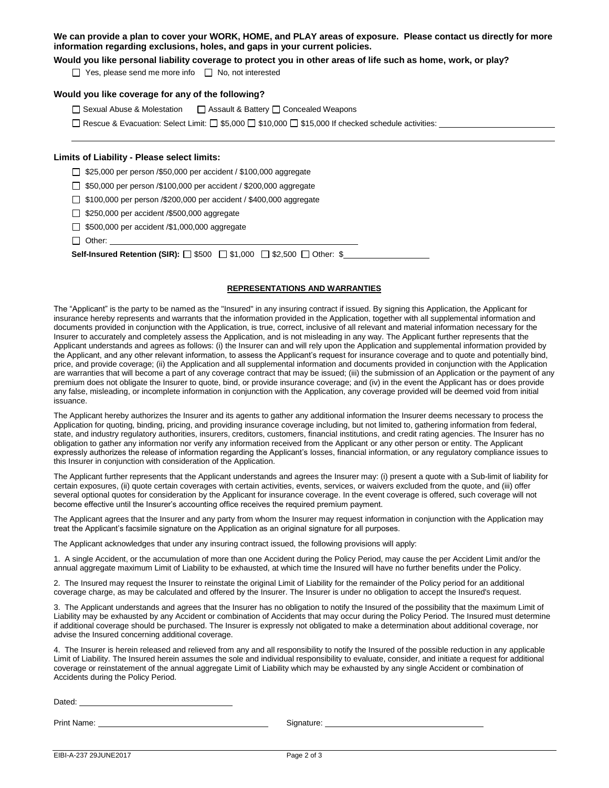# **We can provide a plan to cover your WORK, HOME, and PLAY areas of exposure. Please contact us directly for more information regarding exclusions, holes, and gaps in your current policies.**

**Would you like personal liability coverage to protect you in other areas of life such as home, work, or play?**

 $\Box$  Yes, please send me more info  $\Box$  No, not interested

## **Would you like coverage for any of the following?**

□ Sexual Abuse & Molestation □ Assault & Battery □ Concealed Weapons

Rescue & Evacuation: Select Limit:  $\Box$  \$5,000  $\Box$  \$10,000  $\Box$  \$15,000 If checked schedule activities:

#### **Limits of Liability - Please select limits:**

 $\Box$  \$25,000 per person /\$50,000 per accident / \$100,000 aggregate

□ \$50,000 per person /\$100,000 per accident / \$200,000 aggregate

\$100,000 per person /\$200,000 per accident / \$400,000 aggregate

5250,000 per accident /\$500,000 aggregate

□ \$500,000 per accident /\$1,000,000 aggregate

Other:

**Self-Insured Retention (SIR):** □ \$500 □ \$1,000 □ \$2,500 □ Other: \$

#### **REPRESENTATIONS AND WARRANTIES**

The "Applicant" is the party to be named as the "Insured" in any insuring contract if issued. By signing this Application, the Applicant for insurance hereby represents and warrants that the information provided in the Application, together with all supplemental information and documents provided in conjunction with the Application, is true, correct, inclusive of all relevant and material information necessary for the Insurer to accurately and completely assess the Application, and is not misleading in any way. The Applicant further represents that the Applicant understands and agrees as follows: (i) the Insurer can and will rely upon the Application and supplemental information provided by the Applicant, and any other relevant information, to assess the Applicant's request for insurance coverage and to quote and potentially bind, price, and provide coverage; (ii) the Application and all supplemental information and documents provided in conjunction with the Application are warranties that will become a part of any coverage contract that may be issued; (iii) the submission of an Application or the payment of any premium does not obligate the Insurer to quote, bind, or provide insurance coverage; and (iv) in the event the Applicant has or does provide any false, misleading, or incomplete information in conjunction with the Application, any coverage provided will be deemed void from initial issuance.

The Applicant hereby authorizes the Insurer and its agents to gather any additional information the Insurer deems necessary to process the Application for quoting, binding, pricing, and providing insurance coverage including, but not limited to, gathering information from federal, state, and industry regulatory authorities, insurers, creditors, customers, financial institutions, and credit rating agencies. The Insurer has no obligation to gather any information nor verify any information received from the Applicant or any other person or entity. The Applicant expressly authorizes the release of information regarding the Applicant's losses, financial information, or any regulatory compliance issues to this Insurer in conjunction with consideration of the Application.

The Applicant further represents that the Applicant understands and agrees the Insurer may: (i) present a quote with a Sub-limit of liability for certain exposures, (ii) quote certain coverages with certain activities, events, services, or waivers excluded from the quote, and (iii) offer several optional quotes for consideration by the Applicant for insurance coverage. In the event coverage is offered, such coverage will not become effective until the Insurer's accounting office receives the required premium payment.

The Applicant agrees that the Insurer and any party from whom the Insurer may request information in conjunction with the Application may treat the Applicant's facsimile signature on the Application as an original signature for all purposes.

The Applicant acknowledges that under any insuring contract issued, the following provisions will apply:

1. A single Accident, or the accumulation of more than one Accident during the Policy Period, may cause the per Accident Limit and/or the annual aggregate maximum Limit of Liability to be exhausted, at which time the Insured will have no further benefits under the Policy.

2. The Insured may request the Insurer to reinstate the original Limit of Liability for the remainder of the Policy period for an additional coverage charge, as may be calculated and offered by the Insurer. The Insurer is under no obligation to accept the Insured's request.

3. The Applicant understands and agrees that the Insurer has no obligation to notify the Insured of the possibility that the maximum Limit of Liability may be exhausted by any Accident or combination of Accidents that may occur during the Policy Period. The Insured must determine if additional coverage should be purchased. The Insurer is expressly not obligated to make a determination about additional coverage, nor advise the Insured concerning additional coverage.

4. The Insurer is herein released and relieved from any and all responsibility to notify the Insured of the possible reduction in any applicable Limit of Liability. The Insured herein assumes the sole and individual responsibility to evaluate, consider, and initiate a request for additional coverage or reinstatement of the annual aggregate Limit of Liability which may be exhausted by any single Accident or combination of Accidents during the Policy Period.

Print Name: Signature: